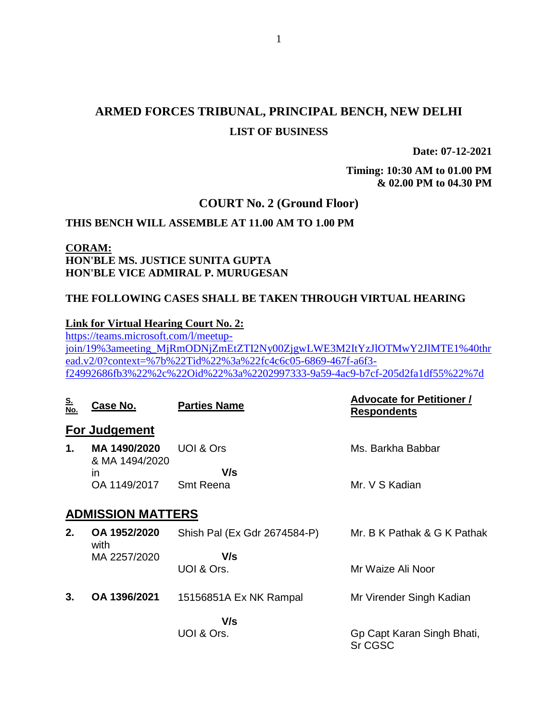# **ARMED FORCES TRIBUNAL, PRINCIPAL BENCH, NEW DELHI LIST OF BUSINESS**

**Date: 07-12-2021**

**Timing: 10:30 AM to 01.00 PM & 02.00 PM to 04.30 PM**

### **COURT No. 2 (Ground Floor)**

### **THIS BENCH WILL ASSEMBLE AT 11.00 AM TO 1.00 PM**

### **CORAM: HON'BLE MS. JUSTICE SUNITA GUPTA HON'BLE VICE ADMIRAL P. MURUGESAN**

### **THE FOLLOWING CASES SHALL BE TAKEN THROUGH VIRTUAL HEARING**

#### **Link for Virtual Hearing Court No. 2:**

[https://teams.microsoft.com/l/meetup](https://teams.microsoft.com/l/meetup-join/19%3ameeting_MjRmODNjZmEtZTI2Ny00ZjgwLWE3M2ItYzJlOTMwY2JlMTE1%40thread.v2/0?context=%7b%22Tid%22%3a%22fc4c6c05-6869-467f-a6f3-f24992686fb3%22%2c%22Oid%22%3a%2202997333-9a59-4ac9-b7cf-205d2fa1df55%22%7d)[join/19%3ameeting\\_MjRmODNjZmEtZTI2Ny00ZjgwLWE3M2ItYzJlOTMwY2JlMTE1%40thr](https://teams.microsoft.com/l/meetup-join/19%3ameeting_MjRmODNjZmEtZTI2Ny00ZjgwLWE3M2ItYzJlOTMwY2JlMTE1%40thread.v2/0?context=%7b%22Tid%22%3a%22fc4c6c05-6869-467f-a6f3-f24992686fb3%22%2c%22Oid%22%3a%2202997333-9a59-4ac9-b7cf-205d2fa1df55%22%7d) [ead.v2/0?context=%7b%22Tid%22%3a%22fc4c6c05-6869-467f-a6f3](https://teams.microsoft.com/l/meetup-join/19%3ameeting_MjRmODNjZmEtZTI2Ny00ZjgwLWE3M2ItYzJlOTMwY2JlMTE1%40thread.v2/0?context=%7b%22Tid%22%3a%22fc4c6c05-6869-467f-a6f3-f24992686fb3%22%2c%22Oid%22%3a%2202997333-9a59-4ac9-b7cf-205d2fa1df55%22%7d) [f24992686fb3%22%2c%22Oid%22%3a%2202997333-9a59-4ac9-b7cf-205d2fa1df55%22%7d](https://teams.microsoft.com/l/meetup-join/19%3ameeting_MjRmODNjZmEtZTI2Ny00ZjgwLWE3M2ItYzJlOTMwY2JlMTE1%40thread.v2/0?context=%7b%22Tid%22%3a%22fc4c6c05-6869-467f-a6f3-f24992686fb3%22%2c%22Oid%22%3a%2202997333-9a59-4ac9-b7cf-205d2fa1df55%22%7d)

| <u>S.<br/>No.</u>        | Case No.                       | <b>Parties Name</b>          | <b>Advocate for Petitioner /</b><br><b>Respondents</b> |
|--------------------------|--------------------------------|------------------------------|--------------------------------------------------------|
|                          | For Judgement                  |                              |                                                        |
| 1.                       | MA 1490/2020<br>& MA 1494/2020 | UOI & Ors                    | Ms. Barkha Babbar                                      |
|                          | in                             | V/s                          |                                                        |
|                          | OA 1149/2017                   | <b>Smt Reena</b>             | Mr. V S Kadian                                         |
| <b>ADMISSION MATTERS</b> |                                |                              |                                                        |
| 2.                       | OA 1952/2020<br>with           | Shish Pal (Ex Gdr 2674584-P) | Mr. B K Pathak & G K Pathak                            |
|                          | MA 2257/2020                   | V/s                          |                                                        |
|                          |                                | UOI & Ors.                   | Mr Waize Ali Noor                                      |
| 3.                       | OA 1396/2021                   | 15156851A Ex NK Rampal       | Mr Virender Singh Kadian                               |
|                          |                                | V/s                          |                                                        |
|                          |                                | UOI & Ors.                   | Gp Capt Karan Singh Bhati,<br>Sr CGSC                  |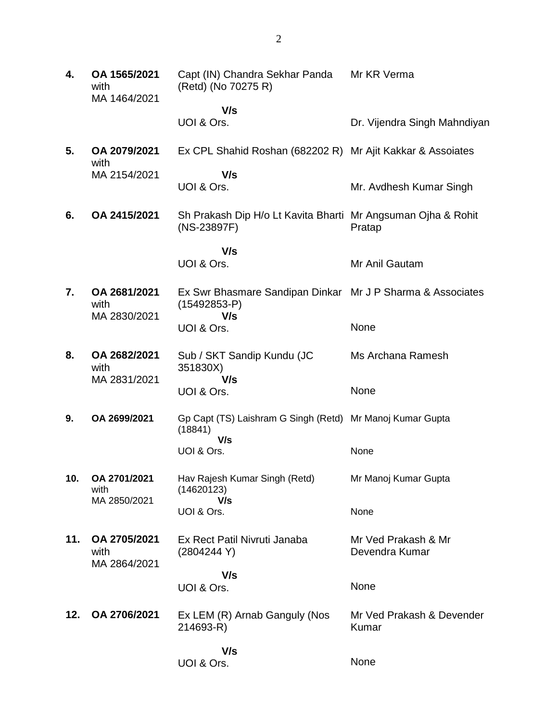**4. OA 1565/2021** with MA 1464/2021 Capt (IN) Chandra Sekhar Panda (Retd) (No 70275 R)  **V/s** UOI & Ors. Mr KR Verma Dr. Vijendra Singh Mahndiyan **5. OA 2079/2021** with MA 2154/2021 Ex CPL Shahid Roshan (682202 R) Mr Ajit Kakkar & Assoiates  **V/s** UOI & Ors. Mr. Avdhesh Kumar Singh **6. OA 2415/2021** Sh Prakash Dip H/o Lt Kavita Bharti Mr Angsuman Ojha & Rohit (NS-23897F)  **V/s** UOI & Ors. Pratap Mr Anil Gautam **7. OA 2681/2021** with MA 2830/2021 Ex Swr Bhasmare Sandipan Dinkar Mr J P Sharma & Associates (15492853-P)  **V/s** UOI & Ors. None **8. OA 2682/2021** with MA 2831/2021 Sub / SKT Sandip Kundu (JC 351830X)  **V/s** UOI & Ors. Ms Archana Ramesh None **9. OA 2699/2021** Gp Capt (TS) Laishram G Singh (Retd) Mr Manoj Kumar Gupta (18841)  **V/s** UOI & Ors. None **10. OA 2701/2021** with MA 2850/2021 Hav Rajesh Kumar Singh (Retd) (14620123)  **V/s** UOI & Ors. Mr Manoj Kumar Gupta None **11. OA 2705/2021** with MA 2864/2021 Ex Rect Patil Nivruti Janaba (2804244 Y)  **V/s** UOI & Ors. Mr Ved Prakash & Mr Devendra Kumar None **12. OA 2706/2021** Ex LEM (R) Arnab Ganguly (Nos 214693-R)  **V/s** UOI & Ors. Mr Ved Prakash & Devender Kumar None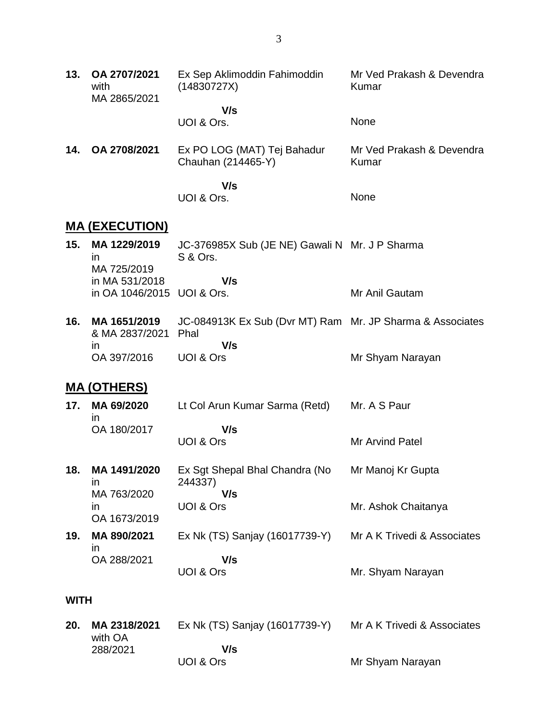| 13.         | OA 2707/2021<br>with<br>MA 2865/2021 | Ex Sep Aklimoddin Fahimoddin<br>(14830727X)                           | Mr Ved Prakash & Devendra<br>Kumar |
|-------------|--------------------------------------|-----------------------------------------------------------------------|------------------------------------|
|             |                                      | V/s                                                                   |                                    |
|             |                                      | UOI & Ors.                                                            | None                               |
| 14.         | OA 2708/2021                         | Ex PO LOG (MAT) Tej Bahadur<br>Chauhan (214465-Y)                     | Mr Ved Prakash & Devendra<br>Kumar |
|             |                                      | V/s                                                                   |                                    |
|             |                                      | UOI & Ors.                                                            | None                               |
|             | <u>MA (EXECUTION)</u>                |                                                                       |                                    |
| 15.         | MA 1229/2019<br>$\mathsf{I}$         | JC-376985X Sub (JE NE) Gawali N Mr. J P Sharma<br><b>S &amp; Ors.</b> |                                    |
|             | MA 725/2019<br>in MA 531/2018        | V/s                                                                   |                                    |
|             | in OA 1046/2015 UOI & Ors.           |                                                                       | Mr Anil Gautam                     |
| 16.         | MA 1651/2019<br>& MA 2837/2021       | JC-084913K Ex Sub (Dvr MT) Ram Mr. JP Sharma & Associates<br>Phal     |                                    |
|             | $\mathsf{I}$<br>OA 397/2016          | V/s<br>UOI & Ors                                                      | Mr Shyam Narayan                   |
|             | <u>MA (OTHERS)</u>                   |                                                                       |                                    |
| 17.         | MA 69/2020<br>in.                    | Lt Col Arun Kumar Sarma (Retd)                                        | Mr. A S Paur                       |
|             | OA 180/2017                          | V/s                                                                   |                                    |
|             |                                      | UOI & Ors                                                             | <b>Mr Arvind Patel</b>             |
| 18.         | MA 1491/2020<br>in                   | Ex Sgt Shepal Bhal Chandra (No<br>244337)                             | Mr Manoj Kr Gupta                  |
|             | MA 763/2020<br>$\mathsf{I}$          | V/s<br>UOI & Ors                                                      | Mr. Ashok Chaitanya                |
|             | OA 1673/2019                         |                                                                       |                                    |
| 19.         | MA 890/2021                          | Ex Nk (TS) Sanjay (16017739-Y)                                        | Mr A K Trivedi & Associates        |
|             | ın<br>OA 288/2021                    | V/s<br>UOI & Ors                                                      | Mr. Shyam Narayan                  |
| <b>WITH</b> |                                      |                                                                       |                                    |
|             |                                      |                                                                       |                                    |
| 20.         | MA 2318/2021<br>with OA              | Ex Nk (TS) Sanjay (16017739-Y)                                        | Mr A K Trivedi & Associates        |
|             | 288/2021                             | V/s                                                                   |                                    |

Mr Shyam Narayan

UOI & Ors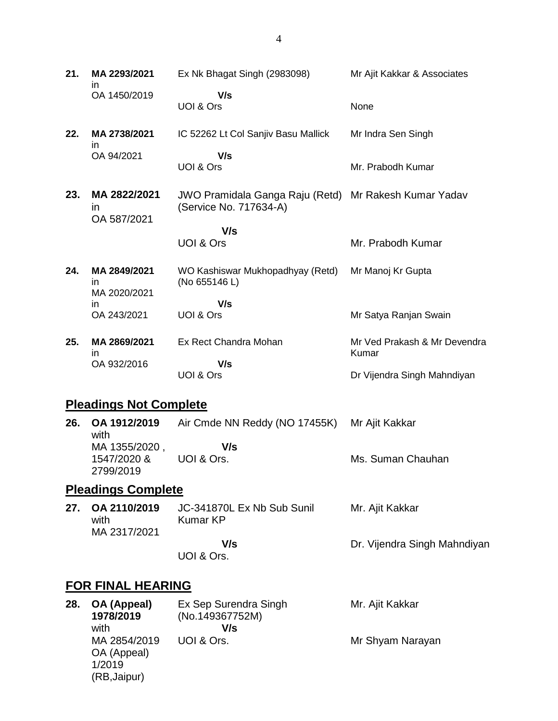**21. MA 2293/2021** in OA 1450/2019 Ex Nk Bhagat Singh (2983098)  **V/s** UOI & Ors Mr Ajit Kakkar & Associates None **22. MA 2738/2021** in OA 94/2021 IC 52262 Lt Col Sanjiv Basu Mallick  **V/s** UOI & Ors Mr Indra Sen Singh Mr. Prabodh Kumar **23. MA 2822/2021** in OA 587/2021 JWO Pramidala Ganga Raju (Retd) Mr Rakesh Kumar Yadav (Service No. 717634-A)  **V/s** UOI & Ors Mr. Prabodh Kumar **24. MA 2849/2021** in MA 2020/2021 in OA 243/2021 WO Kashiswar Mukhopadhyay (Retd) (No 655146 L)  **V/s** UOI & Ors Mr Manoj Kr Gupta Mr Satya Ranjan Swain **25. MA 2869/2021** in OA 932/2016 Ex Rect Chandra Mohan  **V/s** UOI & Ors Mr Ved Prakash & Mr Devendra Kumar Dr Vijendra Singh Mahndiyan

## **Pleadings Not Complete**

| 26.                       | OA 1912/2019<br>with     | Air Cmde NN Reddy (NO 17455K) Mr Ajit Kakkar |                   |  |
|---------------------------|--------------------------|----------------------------------------------|-------------------|--|
|                           | MA 1355/2020,            | V/s                                          |                   |  |
|                           | 1547/2020 &<br>2799/2019 | UOI & Ors.                                   | Ms. Suman Chauhan |  |
| <b>Pleadings Complete</b> |                          |                                              |                   |  |

**27. OA 2110/2019** with MA 2317/2021 JC-341870L Ex Nb Sub Sunil Kumar KP  **V/s** UOI & Ors. Mr. Ajit Kakkar Dr. Vijendra Singh Mahndiyan

## **FOR FINAL HEARING**

| 28. | OA (Appeal)<br>1978/2019<br>with                      | Ex Sep Surendra Singh<br>(No.149367752M)<br>V/s | Mr. Ajit Kakkar  |
|-----|-------------------------------------------------------|-------------------------------------------------|------------------|
|     | MA 2854/2019<br>OA (Appeal)<br>1/2019<br>(RB, Jaipur) | UOI & Ors.                                      | Mr Shyam Narayan |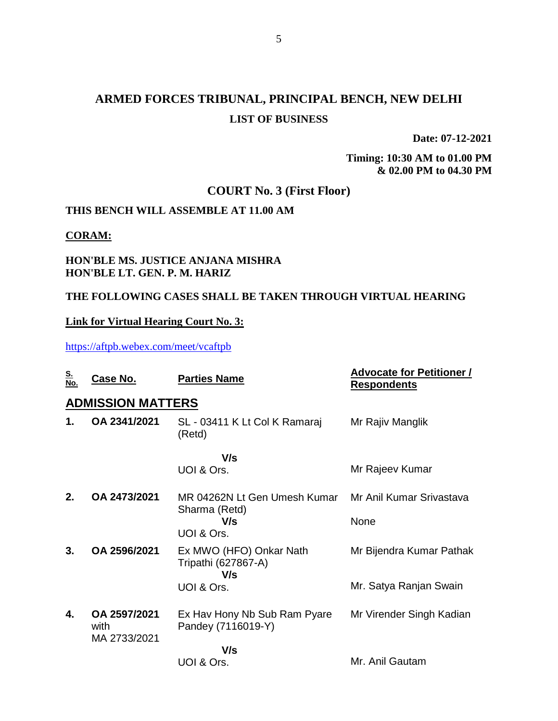# **ARMED FORCES TRIBUNAL, PRINCIPAL BENCH, NEW DELHI LIST OF BUSINESS**

**Date: 07-12-2021**

**Timing: 10:30 AM to 01.00 PM & 02.00 PM to 04.30 PM**

## **COURT No. 3 (First Floor)**

### **THIS BENCH WILL ASSEMBLE AT 11.00 AM**

#### **CORAM:**

### **HON'BLE MS. JUSTICE ANJANA MISHRA HON'BLE LT. GEN. P. M. HARIZ**

### **THE FOLLOWING CASES SHALL BE TAKEN THROUGH VIRTUAL HEARING**

### **Link for Virtual Hearing Court No. 3:**

<https://aftpb.webex.com/meet/vcaftpb>

| <u>S.</u><br>No. | <u>Case No.</u>                      | <b>Parties Name</b>                                   | <b>Advocate for Petitioner /</b><br><b>Respondents</b> |
|------------------|--------------------------------------|-------------------------------------------------------|--------------------------------------------------------|
|                  | <b>ADMISSION MATTERS</b>             |                                                       |                                                        |
| 1.               | OA 2341/2021                         | SL - 03411 K Lt Col K Ramaraj<br>(Retd)               | Mr Rajiv Manglik                                       |
|                  |                                      | V/s                                                   |                                                        |
|                  |                                      | UOI & Ors.                                            | Mr Rajeev Kumar                                        |
| $2_{-}$          | OA 2473/2021                         | MR 04262N Lt Gen Umesh Kumar<br>Sharma (Retd)         | Mr Anil Kumar Srivastava                               |
|                  |                                      | V/s<br>UOI & Ors.                                     | None                                                   |
| 3.               | OA 2596/2021                         | Ex MWO (HFO) Onkar Nath<br>Tripathi (627867-A)<br>V/s | Mr Bijendra Kumar Pathak                               |
|                  |                                      | UOI & Ors.                                            | Mr. Satya Ranjan Swain                                 |
| 4.               | OA 2597/2021<br>with<br>MA 2733/2021 | Ex Hav Hony Nb Sub Ram Pyare<br>Pandey (7116019-Y)    | Mr Virender Singh Kadian                               |
|                  |                                      | V/s                                                   |                                                        |
|                  |                                      | UOI & Ors.                                            | Mr. Anil Gautam                                        |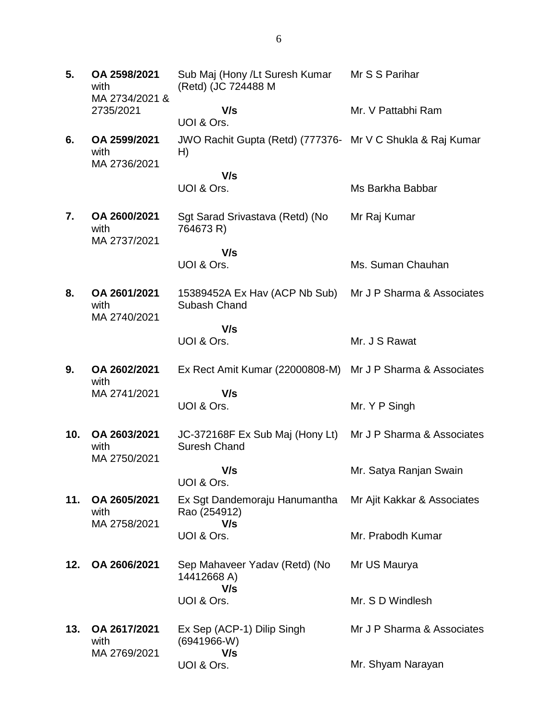**5. OA 2598/2021** with MA 2734/2021 & 2735/2021 Sub Maj (Hony /Lt Suresh Kumar (Retd) (JC 724488 M  **V/s** UOI & Ors. Mr S S Parihar Mr. V Pattabhi Ram **6. OA 2599/2021** with MA 2736/2021 JWO Rachit Gupta (Retd) (777376- Mr V C Shukla & Raj Kumar H)  **V/s** UOI & Ors. Ms Barkha Babbar **7. OA 2600/2021** with MA 2737/2021 Sgt Sarad Srivastava (Retd) (No 764673 R)  **V/s** UOI & Ors. Mr Raj Kumar Ms. Suman Chauhan **8. OA 2601/2021** with MA 2740/2021 15389452A Ex Hav (ACP Nb Sub) Subash Chand  **V/s** UOI & Ors. Mr J P Sharma & Associates Mr. J S Rawat **9. OA 2602/2021** with MA 2741/2021 Ex Rect Amit Kumar (22000808-M) Mr J P Sharma & Associates  **V/s** UOI & Ors. Mr. Y P Singh **10. OA 2603/2021** with MA 2750/2021 JC-372168F Ex Sub Maj (Hony Lt) Suresh Chand  **V/s** UOI & Ors. Mr J P Sharma & Associates Mr. Satya Ranjan Swain **11. OA 2605/2021** with MA 2758/2021 Ex Sgt Dandemoraju Hanumantha Rao (254912)  **V/s** UOI & Ors. Mr Ajit Kakkar & Associates Mr. Prabodh Kumar **12. OA 2606/2021** Sep Mahaveer Yadav (Retd) (No 14412668 A)  **V/s** UOI & Ors. Mr US Maurya Mr. S D Windlesh **13. OA 2617/2021** with MA 2769/2021 Ex Sep (ACP-1) Dilip Singh (6941966-W)  **V/s** UOI & Ors. Mr J P Sharma & Associates Mr. Shyam Narayan